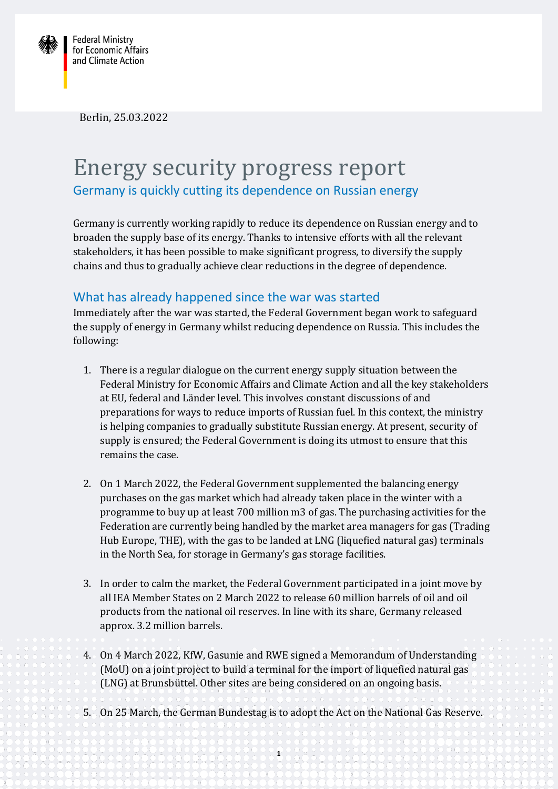

Berlin, 25.03.2022

## Energy security progress report Germany is quickly cutting its dependence on Russian energy

Germany is currently working rapidly to reduce its dependence on Russian energy and to broaden the supply base of its energy. Thanks to intensive efforts with all the relevant stakeholders, it has been possible to make significant progress, to diversify the supply chains and thus to gradually achieve clear reductions in the degree of dependence.

## What has already happened since the war was started

Immediately after the war was started, the Federal Government began work to safeguard the supply of energy in Germany whilst reducing dependence on Russia. This includes the following:

- 1. There is a regular dialogue on the current energy supply situation between the Federal Ministry for Economic Affairs and Climate Action and all the key stakeholders at EU, federal and Länder level. This involves constant discussions of and preparations for ways to reduce imports of Russian fuel. In this context, the ministry is helping companies to gradually substitute Russian energy. At present, security of supply is ensured; the Federal Government is doing its utmost to ensure that this remains the case.
- 2. On 1 March 2022, the Federal Government supplemented the balancing energy purchases on the gas market which had already taken place in the winter with a programme to buy up at least 700 million m3 of gas. The purchasing activities for the Federation are currently being handled by the market area managers for gas (Trading Hub Europe, THE), with the gas to be landed at LNG (liquefied natural gas) terminals in the North Sea, for storage in Germany's gas storage facilities.
- 3. In order to calm the market, the Federal Government participated in a joint move by all IEA Member States on 2 March 2022 to release 60 million barrels of oil and oil products from the national oil reserves. In line with its share, Germany released approx. 3.2 million barrels.
- 4. On 4 March 2022, KfW, Gasunie and RWE signed a Memorandum of Understanding (MoU) on a joint project to build a terminal for the import of liquefied natural gas (LNG) at Brunsbüttel. Other sites are being considered on an ongoing basis.
- 5. On 25 March, the German Bundestag is to adopt the Act on the National Gas Reserve.

**1**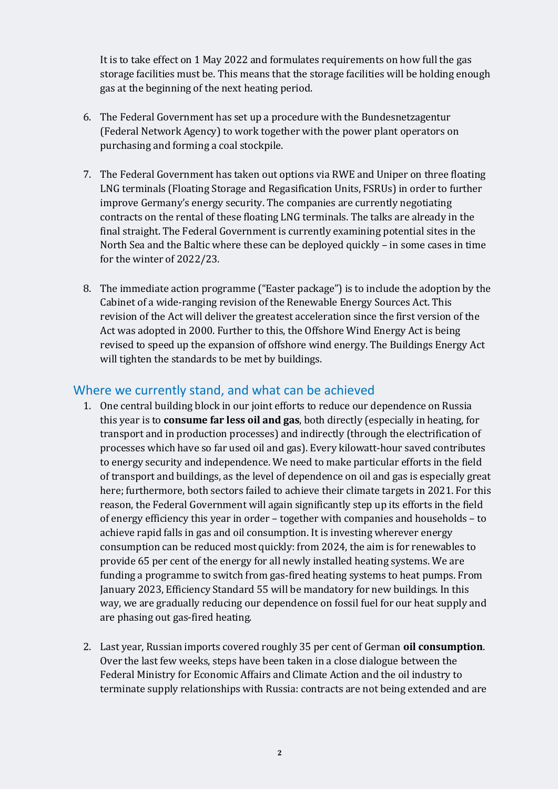It is to take effect on 1 May 2022 and formulates requirements on how full the gas storage facilities must be. This means that the storage facilities will be holding enough gas at the beginning of the next heating period.

- 6. The Federal Government has set up a procedure with the Bundesnetzagentur (Federal Network Agency) to work together with the power plant operators on purchasing and forming a coal stockpile.
- 7. The Federal Government has taken out options via RWE and Uniper on three floating LNG terminals (Floating Storage and Regasification Units, FSRUs) in order to further improve Germany's energy security. The companies are currently negotiating contracts on the rental of these floating LNG terminals. The talks are already in the final straight. The Federal Government is currently examining potential sites in the North Sea and the Baltic where these can be deployed quickly – in some cases in time for the winter of 2022/23.
- 8. The immediate action programme ("Easter package") is to include the adoption by the Cabinet of a wide-ranging revision of the Renewable Energy Sources Act. This revision of the Act will deliver the greatest acceleration since the first version of the Act was adopted in 2000. Further to this, the Offshore Wind Energy Act is being revised to speed up the expansion of offshore wind energy. The Buildings Energy Act will tighten the standards to be met by buildings.

## Where we currently stand, and what can be achieved

- 1. One central building block in our joint efforts to reduce our dependence on Russia this year is to **consume far less oil and gas**, both directly (especially in heating, for transport and in production processes) and indirectly (through the electrification of processes which have so far used oil and gas). Every kilowatt-hour saved contributes to energy security and independence. We need to make particular efforts in the field of transport and buildings, as the level of dependence on oil and gas is especially great here; furthermore, both sectors failed to achieve their climate targets in 2021. For this reason, the Federal Government will again significantly step up its efforts in the field of energy efficiency this year in order – together with companies and households – to achieve rapid falls in gas and oil consumption. It is investing wherever energy consumption can be reduced most quickly: from 2024, the aim is for renewables to provide 65 per cent of the energy for all newly installed heating systems. We are funding a programme to switch from gas-fired heating systems to heat pumps. From January 2023, Efficiency Standard 55 will be mandatory for new buildings. In this way, we are gradually reducing our dependence on fossil fuel for our heat supply and are phasing out gas-fired heating.
- 2. Last year, Russian imports covered roughly 35 per cent of German **oil consumption**. Over the last few weeks, steps have been taken in a close dialogue between the Federal Ministry for Economic Affairs and Climate Action and the oil industry to terminate supply relationships with Russia: contracts are not being extended and are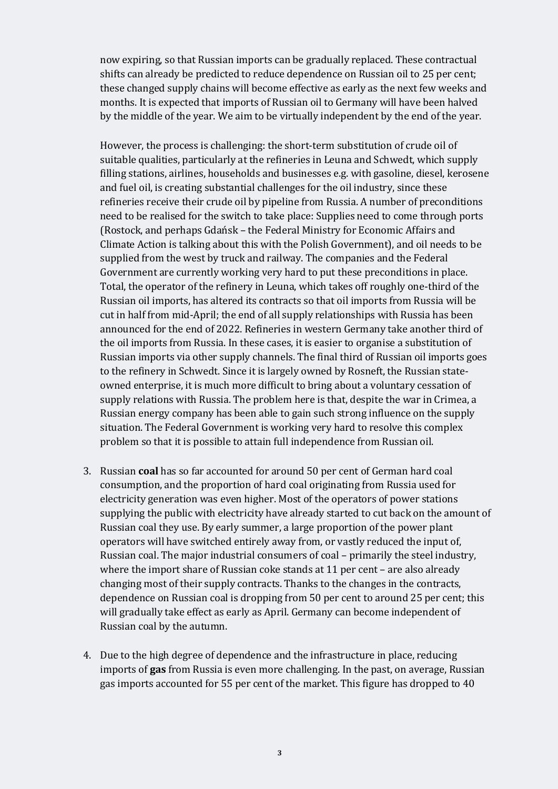now expiring, so that Russian imports can be gradually replaced. These contractual shifts can already be predicted to reduce dependence on Russian oil to 25 per cent; these changed supply chains will become effective as early as the next few weeks and months. It is expected that imports of Russian oil to Germany will have been halved by the middle of the year. We aim to be virtually independent by the end of the year.

However, the process is challenging: the short-term substitution of crude oil of suitable qualities, particularly at the refineries in Leuna and Schwedt, which supply filling stations, airlines, households and businesses e.g. with gasoline, diesel, kerosene and fuel oil, is creating substantial challenges for the oil industry, since these refineries receive their crude oil by pipeline from Russia. A number of preconditions need to be realised for the switch to take place: Supplies need to come through ports (Rostock, and perhaps Gdańsk – the Federal Ministry for Economic Affairs and Climate Action is talking about this with the Polish Government), and oil needs to be supplied from the west by truck and railway. The companies and the Federal Government are currently working very hard to put these preconditions in place. Total, the operator of the refinery in Leuna, which takes off roughly one-third of the Russian oil imports, has altered its contracts so that oil imports from Russia will be cut in half from mid-April; the end of all supply relationships with Russia has been announced for the end of 2022. Refineries in western Germany take another third of the oil imports from Russia. In these cases, it is easier to organise a substitution of Russian imports via other supply channels. The final third of Russian oil imports goes to the refinery in Schwedt. Since it is largely owned by Rosneft, the Russian stateowned enterprise, it is much more difficult to bring about a voluntary cessation of supply relations with Russia. The problem here is that, despite the war in Crimea, a Russian energy company has been able to gain such strong influence on the supply situation. The Federal Government is working very hard to resolve this complex problem so that it is possible to attain full independence from Russian oil.

- 3. Russian **coal** has so far accounted for around 50 per cent of German hard coal consumption, and the proportion of hard coal originating from Russia used for electricity generation was even higher. Most of the operators of power stations supplying the public with electricity have already started to cut back on the amount of Russian coal they use. By early summer, a large proportion of the power plant operators will have switched entirely away from, or vastly reduced the input of, Russian coal. The major industrial consumers of coal – primarily the steel industry, where the import share of Russian coke stands at 11 per cent – are also already changing most of their supply contracts. Thanks to the changes in the contracts, dependence on Russian coal is dropping from 50 per cent to around 25 per cent; this will gradually take effect as early as April. Germany can become independent of Russian coal by the autumn.
- 4. Due to the high degree of dependence and the infrastructure in place, reducing imports of **gas** from Russia is even more challenging. In the past, on average, Russian gas imports accounted for 55 per cent of the market. This figure has dropped to 40